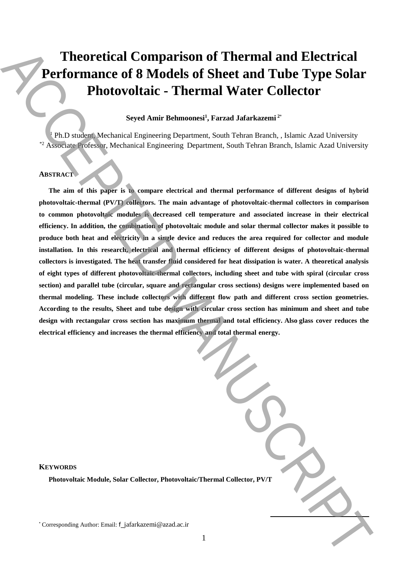# **Theoretical Comparison of Thermal and Electrical Performance of 8 Models of Sheet and Tube Type Solar Photovoltaic - Thermal Water Collector**

# **Seyed Amir Behmoonesi<sup>1</sup> , Farzad Jafarkazemi <sup>2</sup>**\*

 $1$  Ph.D student, Mechanical Engineering Department, South Tehran Branch, , Islamic Azad University \*2 Associate Professor, Mechanical Engineering Department, South Tehran Branch, Islamic Azad University

# **ABSTRACT**

**The aim of this paper is to compare electrical and thermal performance of different designs of hybrid photovoltaic-thermal (PV/T) collectors. The main advantage of photovoltaic-thermal collectors in comparison to common photovoltaic modules is decreased cell temperature and associated increase in their electrical efficiency. In addition, the combination of photovoltaic module and solar thermal collector makes it possible to produce both heat and electricity in a single device and reduces the area required for collector and module installation. In this research, electrical and thermal efficiency of different designs of photovoltaic-thermal collectors is investigated. The heat transfer fluid considered for heat dissipation is water. A theoretical analysis of eight types of different photovoltaic-thermal collectors, including sheet and tube with spiral (circular cross section) and parallel tube (circular, square and rectangular cross sections) designs were implemented based on thermal modeling. These include collectors with different flow path and different cross section geometries. According to the results, Sheet and tube design with circular cross section has minimum and sheet and tube design with rectangular cross section has maximum thermal and total efficiency. Also glass cover reduces the electrical efficiency and increases the thermal efficiency and total thermal energy. Theoretical Comparison of Thermal and Electrical Performance of S Models of Sheet and Tube Type Solar Photovoltaic - Thermal Watter Collector<br>
Authorities and Aminosia (Authorities and Authorities and Comparison Scale Co** 

#### **KEYWORDS**

**Photovoltaic Module, Solar Collector, Photovoltaic/Thermal Collector, PV/T**

**.**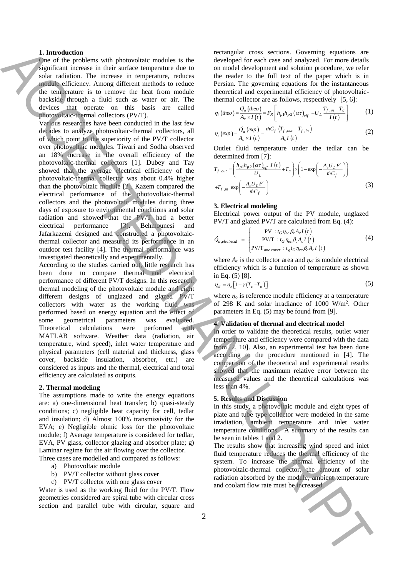#### **1. Introduction**

One of the problems with photovoltaic modules is the significant increase in their surface temperature due to solar radiation. The increase in temperature, reduces module efficiency. Among different methods to reduce the temperature is to remove the heat from module backside through a fluid such as water or air. The devices that operate on this basis are called photovoltaic-thermal collectors (PV/T).

Various researches have been conducted in the last few decades to analyze photovoltaic-thermal collectors, all of which point to the superiority of the PV/T collector over photovoltaic modules. Tiwari and Sodha observed an 18% increase in the overall efficiency of the photovoltaic-thermal collectors [1]. Dubey and Tay showed that the average electrical efficiency of the photovoltaic-thermal collector was about 0.4% higher than the photovoltaic module [2]. Kazem compared the electrical performance of the photovoltaic-thermal collectors and the photovoltaic modules during three days of exposure to environmental conditions and solar radiation and showed that the PV/T had a better electrical performance [3]. Behmounesi and Jafarkazemi designed and constructed a photovoltaicthermal collector and measured its performance in an outdoor test facility [4]. The thermal performance was investigated theoretically and experimentally. **1.** Introduction with photostal interesting with the second of the second of the interesting conduction interesting with the conduction interesting with the conduction interesting in the second of the second of the secon

According to the studies carried out, little research has been done to compare thermal and electrical performance of different PV/T designs. In this research, thermal modeling of the photovoltaic module and eight different designs of unglazed and glazed PV/T collectors with water as the working fluid was performed based on energy equation and the effect of some geometrical parameters was evaluated. Theoretical calculations were performed with MATLAB software. Weather data (radiation, air temperature, wind speed), inlet water temperature and physical parameters (cell material and thickness, glass cover, backside insulation, absorber, etc.) are considered as inputs and the thermal, electrical and total efficiency are calculated as outputs.

#### **2. Thermal modeling**

The assumptions made to write the energy equations are: a) one-dimensional heat transfer; b) quasi-steady conditions; c) negligible heat capacity for cell, tedlar and insulation; d) Almost 100% transmissivity for the EVA; e) Negligible ohmic loss for the photovoltaic module; f) Average temperature is considered for tedlar, EVA, PV glass, collector glazing and absorber plate; g) Laminar regime for the air flowing over the collector. Three cases are modelled and compared as follows:

- a) Photovoltaic module
- b) PV/T collector without glass cover
- c) PV/T collector with one glass cover

Water is used as the working fluid for the PV/T. Flow geometries considered are spiral tube with circular cross section and parallel tube with circular, square and rectangular cross sections. Governing equations are developed for each case and analyzed. For more details on model development and solution procedure, we refer the reader to the full text of the paper which is in Persian. The governing equations for the instantaneous theoretical and experimental efficiency of photovoltaicthermal collector are as follows, respectively [5, 6]:

$$
\eta_i \left( theo \right) = \frac{\dot{Q}_u \left( theo \right)}{A_c \times I \left( t \right)} = F_R \left[ h_{p1} h_{p2} \left( \alpha \tau \right)_{\text{eff}} - U_L \frac{T_{f,in} - T_a}{I \left( t \right)} \right] \tag{1}
$$

$$
\eta_i\left(\exp\right) = \frac{\dot{Q}_u\left(\exp\right)}{A_c \times I\left(t\right)} = \frac{\dot{m}C_f\left(T_{f,out} - T_{f,in}\right)}{A_c I\left(t\right)}\tag{2}
$$

Outlet fluid temperature under the tedlar can be determined from [7]:

$$
T_{f, out} = \left(\frac{h_{p1}h_{p2}(\alpha\tau)_{eff} I(t)}{U_L} + T_a\right) \times \left(1 - \exp\left(-\frac{A_c U_L F}{\dot{m}C_f}\right)\right)
$$
  
+
$$
T_{f, in} \exp\left(-\frac{A_c U_L F}{\dot{m}C_f}\right)
$$
(3)

#### **3. Electrical modeling**

Electrical power output of the PV module, unglazed PV/T and glazed PV/T are calculated from Eq. (4):

$$
\dot{Q}_{u, electrical} = \begin{cases}\n\text{PV} : t_G \eta_{ec} \beta_c A_c I(t) \\
\text{PV/T} : t_G \eta_{ec} \beta_c A_c I(t) \\
\text{PV/T}_{one cover} : t_g t_G \eta_{ec} \beta_c A_c I(t)\n\end{cases}
$$
\n(4)

where  $A_c$  is the collector area and  $\eta_{el}$  is module electrical efficiency which is a function of temperature as shown in Eq. (5) [8].

$$
\eta_{el} = \eta_o \left[ 1 - \gamma (T_c - T_o) \right] \tag{5}
$$

where  $\eta$ <sup>*o*</sup> is reference module efficiency at a temperature of 298 K and solar irradiance of 1000 W/m<sup>2</sup> . Other parameters in Eq. (5) may be found from [9].

## **4. Validation of thermal and electrical model**

In order to validate the theoretical results, outlet water temperature and efficiency were compared with the data from [2, 10]. Also, an experimental test has been done according to the procedure mentioned in [4]. The comparison of the theoretical and experimental results showed that the maximum relative error between the measured values and the theoretical calculations was less than 4%.

## **5. Results and Discussion**

In this study, a photovoltaic module and eight types of plate and tube type collector were modeled in the same irradiation, ambient temperature and inlet water temperature conditions. A summary of the results can be seen in tables 1 and 2.

The results show that increasing wind speed and inlet fluid temperature reduces the thermal efficiency of the system. To increase the thermal efficiency of the photovoltaic-thermal collector, the amount of solar radiation absorbed by the module, ambient temperature